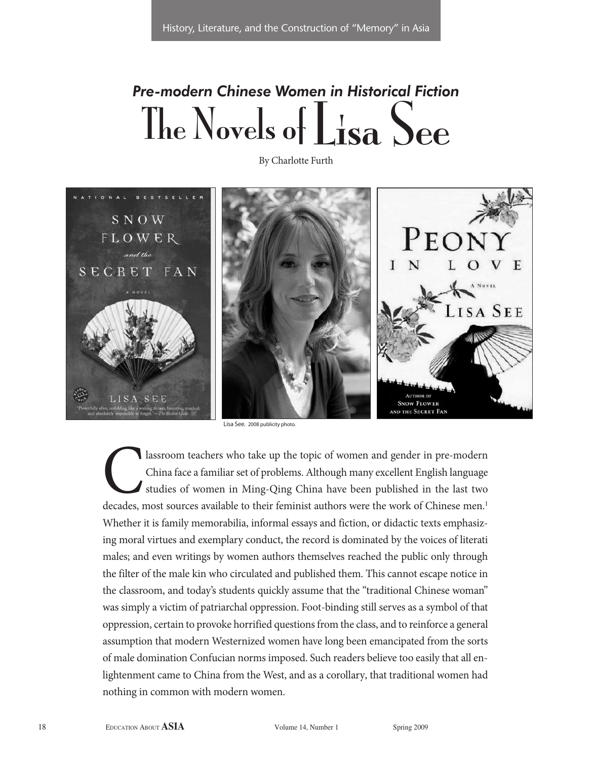## *Pre-modern Chinese Women in Historical Fiction* The Novels of Lisa See

By Charlotte Furth



Lisa See. 2008 publicity photo.

lassroom teachers who take up the topic of women and gender in pre-modern China face a familiar set of problems. Although many excellent English language studies of women in Ming-Qing China have been published in the last two decades, most sources available to their feminist authors were the work of Chinese men.<sup>1</sup> Whether it is family memorabilia, informal essays and fiction, or didactic texts emphasizing moral virtues and exemplary conduct, the record is dominated by the voices of literati males; and even writings by women authors themselves reached the public only through the filter of the male kin who circulated and published them. This cannot escape notice in the classroom, and today's students quickly assume that the "traditional Chinese woman" was simply a victim of patriarchal oppression. Foot-binding still serves as a symbol of that oppression, certain to provoke horrified questions from the class, and to reinforce a general assumption that modern Westernized women have long been emancipated from the sorts of male domination Confucian norms imposed. Such readers believe too easily that all enlightenment came to China from the West, and as a corollary, that traditional women had nothing in common with modern women.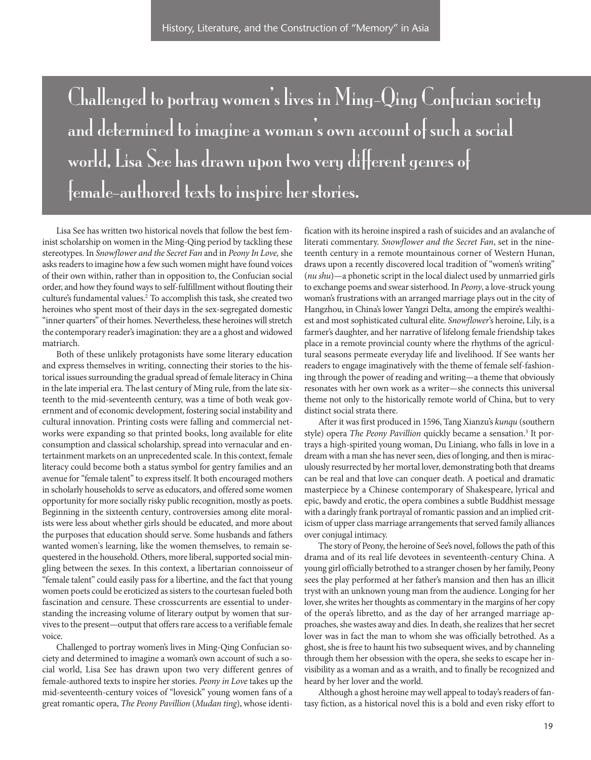Challenged to portray women's lives in Ming-Qing Confucian society and determined to imagine a woman's own account of such a social world, Lisa See has drawn upon two very different genres of female-authored texts to inspire her stories.

Lisa See has written two historical novels that follow the best feminist scholarship on women in the Ming-Qing period by tackling these stereotypes. In Snowflower and the Secret Fan and in Peony In Love, she asks readers to imagine how a few such women might have found voices of their own within, rather than in opposition to, the Confucian social order, and how they found ways to self-fulfillment without flouting their culture's fundamental values. <sup>2</sup> To accomplish this task, she created two heroines who spent most of their days in the sex-segregated domestic "inner quarters" of their homes. Nevertheless, these heroines will stretch the contemporary reader's imagination: they are a a ghost and widowed matriarch.

Both of these unlikely protagonists have some literary education and express themselves in writing, connecting their stories to the historical issues surrounding the gradual spread of female literacy in China in the late imperial era. The last century of Ming rule, from the late sixteenth to the mid-seventeenth century, was a time of both weak government and of economic development, fostering social instability and cultural innovation. Printing costs were falling and commercial networks were expanding so that printed books, long available for elite consumption and classical scholarship, spread into vernacular and entertainment markets on an unprecedented scale. In this context, female literacy could become both a status symbol for gentry families and an avenue for "female talent" to express itself. It both encouraged mothers in scholarly households to serve as educators, and offered some women opportunity for more socially risky public recognition, mostly as poets. Beginning in the sixteenth century, controversies among elite moralists were less about whether girls should be educated, and more about the purposes that education should serve. Some husbands and fathers wanted women's learning, like the women themselves, to remain sequestered in the household. Others, more liberal, supported social mingling between the sexes. In this context, a libertarian connoisseur of "female talent" could easily pass for a libertine, and the fact that young women poets could be eroticized as sisters to the courtesan fueled both fascination and censure. These crosscurrents are essential to understanding the increasing volume of literary output by women that survives to the present—output that offers rare access to a verifiable female voice.

Challenged to portray women's lives in Ming-Qing Confucian society and determined to imagine a woman's own account of such a social world, Lisa See has drawn upon two very different genres of female-authored texts to inspire her stories. Peony in Love takes up the mid-seventeenth-century voices of "lovesick" young women fans of a great romantic opera, The Peony Pavillion (Mudan ting), whose identi-

fication with its heroine inspired a rash of suicides and an avalanche of literati commentary. Snowflower and the Secret Fan, set in the nineteenth century in a remote mountainous corner of Western Hunan, draws upon a recently discovered local tradition of "women's writing" (nu shu)—a phonetic script in the local dialect used by unmarried girls to exchange poems and swear sisterhood. In Peony, a love-struck young woman's frustrations with an arranged marriage plays out in the city of Hangzhou, in China's lower Yangzi Delta, among the empire's wealthiest and most sophisticated cultural elite. Snowflower's heroine, Lily, is a farmer's daughter, and her narrative of lifelong female friendship takes place in a remote provincial county where the rhythms of the agricultural seasons permeate everyday life and livelihood. If See wants her readers to engage imaginatively with the theme of female self-fashioning through the power of reading and writing—a theme that obviously resonates with her own work as a writer—she connects this universal theme not only to the historically remote world of China, but to very distinct social strata there.

After it was first produced in 1596, Tang Xianzu's kunqu (southern style) opera *The Peony Pavillion* quickly became a sensation.<sup>3</sup> It portrays a high-spirited young woman, Du Liniang, who falls in love in a dream with a man she has never seen, dies of longing, and then is miraculously resurrected by her mortal lover, demonstrating both that dreams can be real and that love can conquer death. A poetical and dramatic masterpiece by a Chinese contemporary of Shakespeare, lyrical and epic, bawdy and erotic, the opera combines a subtle Buddhist message with a daringly frank portrayal of romantic passion and an implied criticism of upper class marriage arrangements that served family alliances over conjugal intimacy.

The story of Peony, the heroine of See's novel, follows the path of this drama and of its real life devotees in seventeenth-century China. A young girl officially betrothed to a stranger chosen by her family, Peony sees the play performed at her father's mansion and then has an illicit tryst with an unknown young man from the audience. Longing for her lover, she writes her thoughts as commentary in the margins of her copy of the opera's libretto, and as the day of her arranged marriage approaches, she wastes away and dies. In death, she realizes that her secret lover was in fact the man to whom she was officially betrothed. As a ghost, she is free to haunt his two subsequent wives, and by channeling through them her obsession with the opera, she seeks to escape her invisibility as a woman and as a wraith, and to finally be recognized and heard by her lover and the world.

Although a ghost heroine may well appeal to today's readers of fantasy fiction, as a historical novel this is a bold and even risky effort to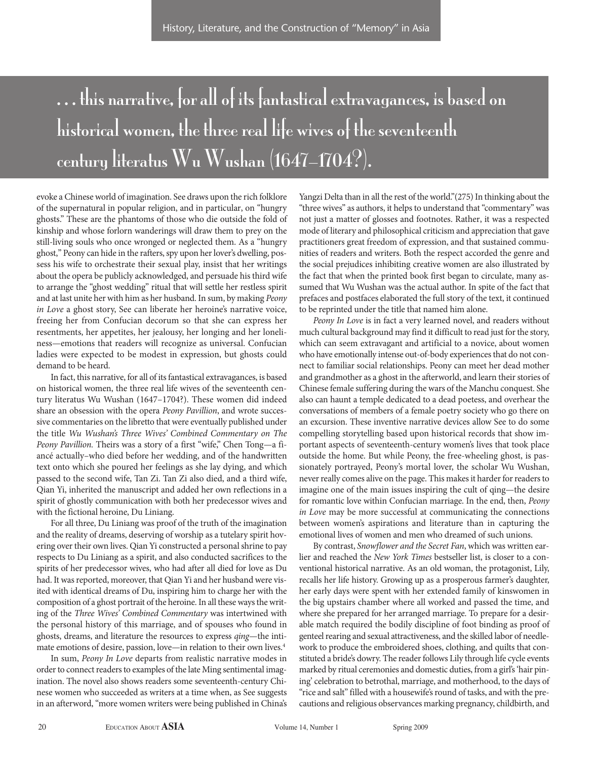## . . . this narrative, for all of its fantastical extravagances, is based on historical women, the three real life wives of the seventeenth century literatus Wu Wushan (1647–1704?).

evoke a Chinese world of imagination. See draws upon the rich folklore of the supernatural in popular religion, and in particular, on "hungry ghosts." These are the phantoms of those who die outside the fold of kinship and whose forlorn wanderings will draw them to prey on the still-living souls who once wronged or neglected them. As a "hungry ghost," Peony can hide in the rafters, spy upon her lover's dwelling, possess his wife to orchestrate their sexual play, insist that her writings about the opera be publicly acknowledged, and persuade his third wife to arrange the "ghost wedding" ritual that will settle her restless spirit and at last unite her with him as her husband. In sum, by making Peony in Love a ghost story, See can liberate her heroine's narrative voice, freeing her from Confucian decorum so that she can express her resentments, her appetites, her jealousy, her longing and her loneliness—emotions that readers will recognize as universal. Confucian ladies were expected to be modest in expression, but ghosts could demand to be heard.

In fact, this narrative, for all of its fantastical extravagances, is based on historical women, the three real life wives of the seventeenth century literatus Wu Wushan (1647–1704?). These women did indeed share an obsession with the opera Peony Pavillion, and wrote successive commentaries on the libretto that were eventually published under the title Wu Wushan's Three Wives' Combined Commentary on The Peony Pavillion. Theirs was a story of a first "wife," Chen Tong—a fiancé actually–who died before her wedding, and of the handwritten text onto which she poured her feelings as she lay dying, and which passed to the second wife, Tan Zi. Tan Zi also died, and a third wife, Qian Yi, inherited the manuscript and added her own reflections in a spirit of ghostly communication with both her predecessor wives and with the fictional heroine, Du Liniang.

For all three, Du Liniang was proof of the truth of the imagination and the reality of dreams, deserving of worship as a tutelary spirit hovering over their own lives. Qian Yi constructed a personal shrine to pay respects to Du Liniang as a spirit, and also conducted sacrifices to the spirits of her predecessor wives, who had after all died for love as Du had. It was reported, moreover, that Qian Yi and her husband were visited with identical dreams of Du, inspiring him to charge her with the composition of a ghost portrait of the heroine. In all these ways the writing of the Three Wives' Combined Commentary was intertwined with the personal history of this marriage, and of spouses who found in ghosts, dreams, and literature the resources to express qing—the intimate emotions of desire, passion, love—in relation to their own lives.<sup>4</sup>

In sum, Peony In Love departs from realistic narrative modes in order to connect readers to examples of the late Ming sentimental imagination. The novel also shows readers some seventeenth-century Chinese women who succeeded as writers at a time when, as See suggests in an afterword, "more women writers were being published in China's

Yangzi Delta than in all the rest of the world."(275) In thinking about the "three wives" as authors, it helps to understand that "commentary" was not just a matter of glosses and footnotes. Rather, it was a respected mode of literary and philosophical criticism and appreciation that gave practitioners great freedom of expression, and that sustained communities of readers and writers. Both the respect accorded the genre and the social prejudices inhibiting creative women are also illustrated by the fact that when the printed book first began to circulate, many assumed that Wu Wushan was the actual author. In spite of the fact that prefaces and postfaces elaborated the full story of the text, it continued to be reprinted under the title that named him alone.

Peony In Love is in fact a very learned novel, and readers without much cultural background may find it difficult to read just for the story, which can seem extravagant and artificial to a novice, about women who have emotionally intense out-of-body experiences that do not connect to familiar social relationships. Peony can meet her dead mother and grandmother as a ghost in the afterworld, and learn their stories of Chinese female suffering during the wars of the Manchu conquest. She also can haunt a temple dedicated to a dead poetess, and overhear the conversations of members of a female poetry society who go there on an excursion. These inventive narrative devices allow See to do some compelling storytelling based upon historical records that show important aspects of seventeenth-century women's lives that took place outside the home. But while Peony, the free-wheeling ghost, is passionately portrayed, Peony's mortal lover, the scholar Wu Wushan, never really comes alive on the page. This makes it harder for readers to imagine one of the main issues inspiring the cult of qing—the desire for romantic love within Confucian marriage. In the end, then, Peony in Love may be more successful at communicating the connections between women's aspirations and literature than in capturing the emotional lives of women and men who dreamed of such unions.

By contrast, Snowflower and the Secret Fan, which was written earlier and reached the New York Times bestseller list, is closer to a conventional historical narrative. As an old woman, the protagonist, Lily, recalls her life history. Growing up as a prosperous farmer's daughter, her early days were spent with her extended family of kinswomen in the big upstairs chamber where all worked and passed the time, and where she prepared for her arranged marriage. To prepare for a desirable match required the bodily discipline of foot binding as proof of genteel rearing and sexual attractiveness, and the skilled labor of needlework to produce the embroidered shoes, clothing, and quilts that constituted a bride's dowry. The reader follows Lily through life cycle events marked by ritual ceremonies and domestic duties, from a girl's 'hair pining' celebration to betrothal, marriage, and motherhood, to the days of "rice and salt" filled with a housewife's round of tasks, and with the precautions and religious observances marking pregnancy, childbirth, and